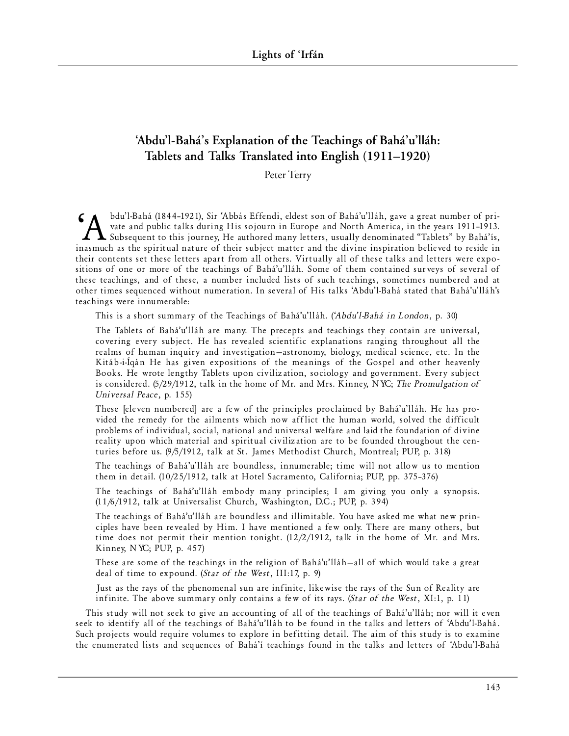# **'Abdu'l-Bahá's Explanation of the Teachings of Bahá'u'lláh: Tablets and Talks Translated into English (1911–1920)**

Peter Terry

bdu'l-Bahá (1844–1921), Sir 'Abbás Effendi, eldest son of Bahá'u'lláh, gave a great number of private and public talks during His sojourn in Europe and North America, in the years 1911-1913.<br>Subsequent to this journey, He vate and public talks during His sojourn in Europe and North America, in the years 1911-1913. Subsequent to this journey, He authored many letters, usually denominated "Tablets" by Bahá'ís, inasmuch as the spiritual nature of their subject matter and the divine inspiration believed to reside in their contents set these letters apart from all others. Virtually all of these talks and letters were expositions of one or more of the teachings of Bahá'u'lláh. Some of them contained surveys of several of these teachings, and of these, a number included lists of such teachings, sometimes numbered and at other times sequenced without numeration. In several of His talks 'Abdu'l-Bahá stated that Bahá'u'lláh's teachings were innumerable:

This is a short summary of the Teachings of Bahá'u'lláh. ('Abdu'l-Bahá in London, p. 30)

The Tablets of Bahá'u'lláh are many. The precepts and teachings they contain are universal, covering every subject. He has revealed scientific explanations ranging throughout all the realms of human inquiry and investigation-astronomy, biology, medical science, etc. In the Kitáb-i-Íqán He has given expositions of the meanings of the Gospel and other heavenly Books. He wrote lengthy Tablets upon civilization, sociology and government. Every subject is considered. (5/29/1912, talk in the home of Mr. and Mrs. Kinney, NYC; *The Promulgation of Universal Peace*, p. 155)

These [eleven numbered] are a few of the principles proclaimed by Bahá'u'lláh. He has provided the remedy for the ailments which now afflict the human world, solved the difficult problems of individual, social, national and universal welfare and laid the foundation of divine reality upon which material and spiritual civilization are to be founded throughout the centuries before us. (9/5/1912, talk at St. James Methodist Church, Montreal; PUP, p. 318)

The teachings of Bahá'u'lláh are boundless, innumerable; time will not allow us to mention them in detail. (10/25/1912, talk at Hotel Sacramento, California; PUP, pp. 375-376)

The teachings of Bahá'u'lláh embody many principles; I am giving you only a synopsis. (11/6/1912, talk at Universalist Church, Washington, D.C.; PUP, p. 394)

The teachings of Bahá'u'lláh are boundless and illimitable. You have asked me what new principles have been revealed by Him. I have mentioned a few only. There are many others, but time does not permit their mention tonight.  $(12/2/1912)$ , talk in the home of Mr. and Mrs. Kinney, NYC; PUP, p. 457)

These are some of the teachings in the religion of Bahá'u'lláh-all of which would take a great deal of time to expound. (*Star of the West*, III:17, p. 9)

Just as the rays of the phenomenal sun are infinite, likewise the rays of the Sun of Reality are in finite. The above summary only contains a few of its rays. (*Star of the West*, XI:1, p. 11)

This study will not seek to give an accounting of all of the teachings of Bahá'u'lláh; nor will it even seek to identify all of the teachings of Bahá'u'lláh to be found in the talks and letters of 'Abdu'l-Bahá. Such projects would require volumes to explore in befitting detail. The aim of this study is to examine the enumerated lists and sequences of Bahá'í teachings found in the talks and letters of 'Abdu' l-Bahá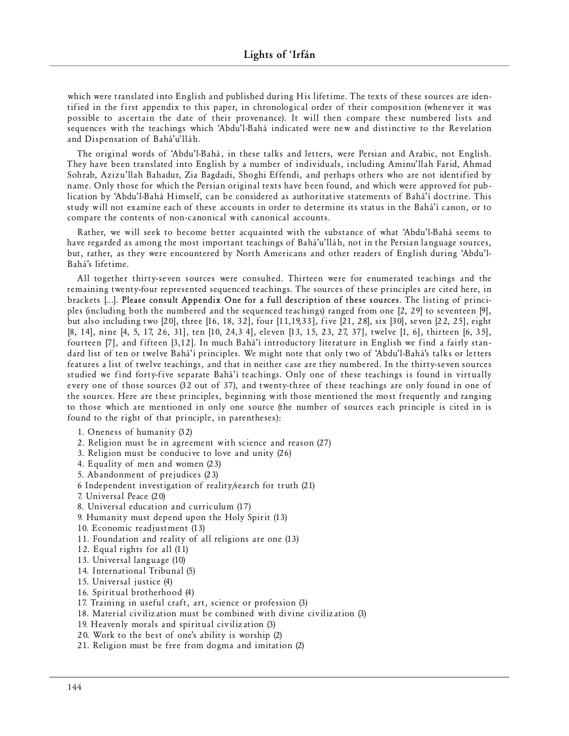which were translated into English and published during His lifetime. The texts of these sources are identified in the first appendix to this paper, in chronological order of their composition (whenever it was possible to ascertain the date of their provenance). It will then compare these numbered lists and sequences with the teachings which 'Abdu'l-Bahá indicated were new and distinctive to the Revelation and Dispensation of Bahá'u'lláh.

The original words of 'Abdu' l-Bahá, in these talks and letters, were Persian and Arabic, not English. They have been translated into English by a number of individuals, including Aminu'llah Farid, Ahmad Sohrab, Azizu'llah Bahadur, Zia Bagdadi, Shoghi Effendi, and perhaps others who are not identified by name. Only those for which the Persian original texts have been found, and which were approved for publication by 'Abdu'l-Bahá Himself, can be considered as authoritative statements of Bahá'í doctrine. This study will not examine each of these accounts in order to determine its status in the Bahá'í canon, or to compare the contents of non-canonical with canonical accounts.

Rather, we will seek to become better acquainted with the substance of what 'Abdu' l-Bahá seems to have regarded as among the most important teachings of Bahá'u'lláh, not in the Persian language sources, but, rather, as they were encountered by North Americans and other readers of English during 'Abdu'l-Bahá's lifetime.

All together thirty-seven sources were consulted. Thirteen were for enumerated teachings and the remaining twenty-four represented sequenced teachings. The sources of these principles are cited here, in brackets [...]. Please consult Appendix One for a full description of these sources. The listing of principles (including both the numbered and the sequenced teachings) ranged from one [2, 29] to seventeen [9], but also including two [20], three [16, 18, 32], four [11,19,33], five [21, 28], six [30], seven [22, 25], eight [8, 14], nine [4, 5, 17, 26, 31], ten [10, 24,3 4], eleven [13, 15, 23, 27, 37], twelve [1, 6], thirteen [6, 35], fourteen [7], and fifteen [3,12]. In much Bahá'í introductory literature in English we find a fairly standard list of ten or twelve Bahá'í principles. We might note that only two of 'Abdu'l-Bahá's talks or letters features a list of twelve teachings, and that in neither case are they numbered. In the thirty-seven sources studied we find forty-five separate Bahá'í teachings. Only one of these teachings is found in virtually every one of those sources (32 out of 37), and twenty-three of these teachings are only found in one of the sources. Here are these principles, beginning with those mentioned the most frequently and ranging to those which are mentioned in only one source (the number of sources each principle is cited in is found to the right of that principle, in parentheses):

- 1. Oneness of humanity (32)
- 2. Religion must be in agreement with science and reason (27)
- 3. Religion must be conducive to love and unity  $(26)$
- 4. Equality of men and women (23)
- 5. Abandonment of prejudices (23)
- 6 Independent investigation of reality/search for truth  $(21)$
- 7. Unive rsal Peace (20)
- 8. Universal education and curriculum (17)
- 9. Humanity must depend upon the Holy Spirit (13)
- 10. Economic readjustment (13)
- 11. Foundation and reality of all religions are one  $(13)$
- 12. Equal rights for all (11)
- 13. Universal language (10)
- 14. International Tribunal (5)
- 15. Universal justice (4)
- 16. Spiritual brotherhood (4)
- 17. Training in useful craft, art, science or profession (3)
- 18. Material civilization must be combined with divine civilization (3)
- 19. Heavenly morals and spiritual civilization (3)
- 20. Work to the best of one's ability is worship (2)
- 21. Religion must be free from dogma and imitation (2)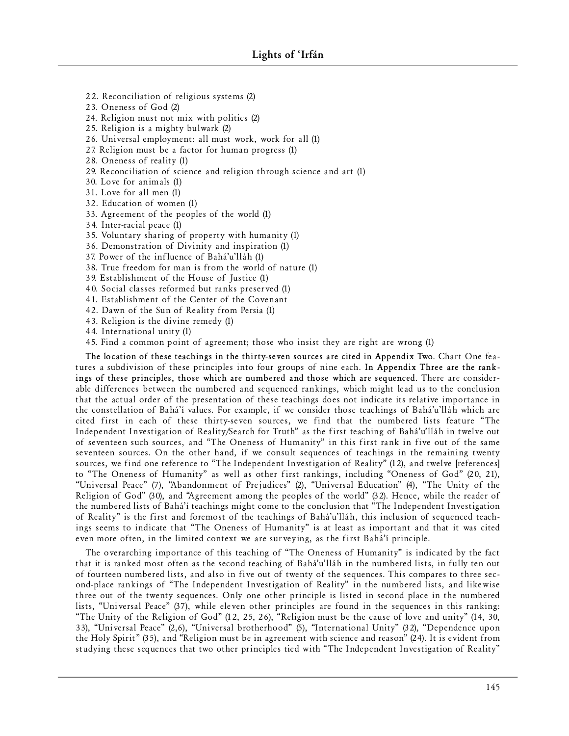- 22. Reconciliation of religious systems (2)
- 23. Oneness of God (2)
- 24. Religion must not mix with politics  $(2)$
- 25. Religion is a mighty bulwark (2)
- 26. Universal employment: all must work, work for all (1)
- 27. Religion must be a factor for human progress  $(1)$
- 28. Oneness of reality (1)
- 29. Reconciliation of science and religion through science and art (1)
- 30. Love for an im als (1)
- 31. Love for all men (1)
- 32. Education of women (1)
- 33. Ag reement of the peoples of the world (1)
- 34. Inter-racial peace (1)
- 35. Voluntary sharing of property with humanity (1)
- 36. Demonstration of Divinity and inspiration (1)
- 37. Power of the influence of Bahá'u'lláh (1)
- 38. True freedom for man is from the world of nature (1)
- 39. Establishment of the House of Justice (1)
- 40. Social classes reformed but ranks preserved (1)
- 41. Establishment of the Center of the Covenant
- 42. Dawn of the Sun of Reality from Persia (1)
- 43. Religion is the divine remedy (1)
- 44. International unity (1)
- 45. Find a common point of agreement; those who insist they are right are wrong (1)

The location of these teachings in the thirty-seven sources are cited in Appendix Two. Chart One features a subdivision of these principles into four groups of nine each. In Appendix Three are the rankings of these principles, those which are numbered and those which are sequenced. There are considerable differences between the numbered and sequenced rankings, which might lead us to the conclusion that the actual order of the presentation of these teachings does not indicate its relative importance in the constellation of Bahá'í values. For example, if we consider those teachings of Bahá'u'lláh which are cited first in each of these thirty-seven sources, we find that the numbered lists feature "The Independent Investigation of Reality/Search for Truth" as the first teaching of Bahá'u'lláh in twelve out of seventeen such sources, and "The Oneness of Humanity" in this first rank in five out of the same seventeen sources. On the other hand, if we consult sequences of teachings in the remaining twenty sources, we find one reference to "The Independent Investigation of Reality" (12), and twelve [references] to "The Oneness of Humanity" as well as other first rankings, including "Oneness of God" (20, 21), "Universal Peace" (7), "Abandonment of Prejudices" (2), "Universal Education" (4), "The Unity of the Religion of God" (30), and "Agreement among the peoples of the world" (32). Hence, while the reader of the numbered lists of Bahá'í teachings might come to the conclusion that "The Independent Investigation of Reality" is the first and foremost of the teachings of Bahá'u'lláh, this inclusion of sequenced teachings seems to indicate that "The Oneness of Humanity" is at least as important and that it was cited even more often, in the limited context we are surveying, as the first Bahá'í principle.

The overarching importance of this teaching of "The Oneness of Humanity" is indicated by the fact that it is ranked most often as the second teaching of Bahá'u'lláh in the numbered lists, in fully ten out of fourteen numbered lists, and also in five out of twenty of the sequences. This compares to three second-place rankings of "The Independent Investigation of Reality" in the numbered lists, and likewise three out of the twenty sequences. Only one other principle is listed in second place in the numbered lists, "Universal Peace" (37), while eleven other principles are found in the sequences in this ranking: "The Unity of the Religion of God" (12, 25, 26), "Religion must be the cause of love and unity" (14, 30, 33), "Universal Peace" (2,6), "Universal brotherhood" (5), "International Unity" (32), "Dependence upon the Holy Spirit" (35), and "Religion must be in agreement with science and reason" (24). It is evident from studying these sequences that two other principles tied with "The Independent Investigation of Reality"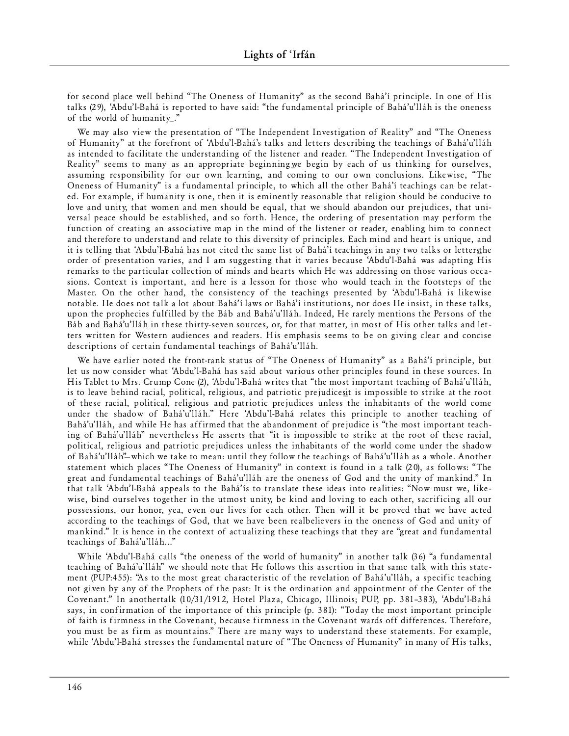for second place well behind "The Oneness of Humanity" as the second Bahá'í principle. In one of His talks (29), 'Abdu'l-Bahá is reported to have said: "the fund amental principle of Bahá'u'lláh is the oneness of the world of humanity."

We may also view the presentation of "The Independent Investigation of Reality" and "The Oneness of Humanity" at the forefront of 'Abdu'l-Bahá's talks and letters describing the teachings of Bahá'u'lláh as intended to facilitate the understanding of the listener and reader. "The Independent Investigation of Reality" seems to many as an appropriate beginning we begin by each of us thinking for ourselves, assuming responsibility for our own learning, and coming to our own conclusions. Likewise, "The Oneness of Humanity" is a fundamental principle, to which all the other Bahá'í teachings can be related. For example, if humanity is one, then it is eminently reasonable that religion should be conducive to love and unity, that women and men should be equal, that we should abandon our prejudices, that universal peace should be established, and so forth. Hence, the ordering of presentation may perform the function of creating an associative map in the mind of the listener or reader, enabling him to connect and therefore to understand and relate to this diversity of principles. Each mind and heart is unique, and it is telling that 'Abdu'l-Bahá has not cited the same list of Bahá'í teachings in any two talks or letters the order of presentation varies, and I am suggesting that it varies because 'Abdu'l-Bahá was adapting His remarks to the particular collection of minds and hearts which He was addressing on those various occasions. Context is important, and here is a lesson for those who would teach in the footsteps of the Master. On the other hand, the consistency of the teachings presented by 'Abdu'l-Bahá is likewise notable. He does not talk a lot about Bahá'í laws or Bahá'í institutions, nor does He insist, in these talks, upon the prophecies fulfilled by the Báb and Bahá'u'lláh. Indeed, He rarely mentions the Persons of the Báb and Bahá'u'lláh in these thirty-seven sources, or, for that matter, in most of His other talks and letters written for Western audiences and readers. His emphasis seems to be on giving clear and concise descriptions of certain fundamental teachings of Bahá'u'lláh.

We have earlier noted the front-rank status of "The Oneness of Humanity" as a Bahá'í principle, but let us now consider what 'Abdu'l-Bahá has said about various other principles found in these sources. In His Tablet to Mrs. Crump Cone (2), 'Abdu'l-Bahá writes that "the most important teaching of Bahá'u'lláh, is to leave behind racial, political, religious, and patriotic prejudicesit is impossible to strike at the root of these racial, political, religious and patriotic prejudices unless the inhabitants of the world come under the shadow of Bahá'u'lláh." Here 'Abdu'l-Bahá relates this principle to another teaching of Bahá'u'lláh, and while He has affirmed that the abandonment of prejudice is "the most important teaching of Bahá'u'lláh" nevertheless He asserts that "it is impossible to strike at the root of these racial, political, religious and patriotic prejudices unless the inhabitants of the world come under the shadow of Bahá'u'lláh"-which we take to mean: until they follow the teachings of Bahá'u'lláh as a whole. Another statement which places "The Oneness of Humanity" in context is found in a talk (20), as follows: "The great and fundamental teachings of Bahá'u'lláh are the oneness of God and the unity of mankind." In that talk 'Abdu' l-Bahá appeals to the Bahá' is to translate these ideas into realities: "Now must we, likewise, bind ourselves together in the utmost unity, be kind and loving to each other, sacrificing all our possessions, our honor, yea, even our lives for each other. Then will it be proved that we have acted according to the teachings of God, that we have been realbelievers in the oneness of God and unity of mankind." It is hence in the context of actualizing these teachings that they are "great and fundamental teachings of Bahá'u'lláh..."

While 'Abdu'l-Bahá calls "the oneness of the world of humanity" in another talk (36) "a fundamental teaching of Bahá'u'lláh" we should note that He follows this assertion in that same talk with this statement (PUP:455): "As to the most great characteristic of the revelation of Bahá'u'lláh, a specific teaching not given by any of the Prophets of the past: It is the ordination and appointment of the Center of the Covenant." In anothertalk (10/31/1912, Hotel Plaza, Chicago, Illinois; PUP, pp. 381-383), 'Abdu'l-Bahá says, in confirmation of the importance of this principle (p.  $381$ ): "Today the most important principle of faith is firmness in the Covenant, because firmness in the Covenant wards off differences. Therefore, you must be as firm as mountains." There are many ways to understand these statements. For example, while 'Abdu'l-Bahá stresses the fundamental nature of "The Oneness of Humanity" in many of His talks,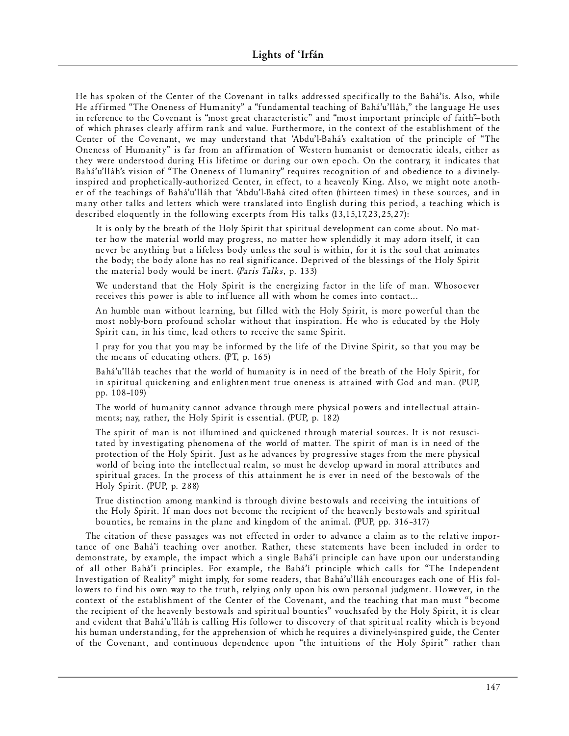He has spoken of the Center of the Covenant in talks addressed specifically to the Bahá'ís. Also, while He affirmed "The Oneness of Humanity" a "fundamental teaching of Bahá'u'lláh," the language He uses in reference to the Covenant is "most great characteristic" and "most important principle of faith"-both of which phrases clearly affirm rank and value. Furthermore, in the context of the establishment of the Center of the Covenant, we may understand that 'Abdu'l-Bahá's exaltation of the principle of "The Oneness of Humanity" is far from an affirmation of Western humanist or democratic ideals, either as they were understood during His lifetime or during our own epoch. On the contrary, it indicates that Bahá'u'lláh's vision of "The Oneness of Humanity" requires recognition of and obedience to a divinelyinspired and prophetically-authorized Center, in effect, to a heavenly King. Also, we might note another of the teachings of Bahá'u'lláh that 'Abdu' l-Bahá cited often (thirteen times) in these sources, and in many other talks and letters which were translated into English during this period, a teaching which is described eloquently in the following excerpts from His talks  $(13, 15, 17, 23, 25, 27)$ :

It is only by the breath of the Holy Spirit that spiritual development can come about. No matter how the material world may progress, no matter how splendidly it may adorn itself, it can never be anything but a lifeless body unless the soul is within, for it is the soul that animates the body; the body alone has no real significance. Deprived of the blessings of the Holy Spirit the material body would be inert. (*Paris Talks*, p. 133)

We understand that the Holy Spirit is the energizing factor in the life of man. Whosoever receives this power is able to influence all with whom he comes into contact...

An humble man without learning, but filled with the Holy Spirit, is more powerful than the most nobly-born profound scholar without that inspiration. He who is educated by the Holy Spirit can, in his time, lead others to receive the same Spirit.

I pray for you that you may be informed by the life of the Divine Spirit, so that you may be the means of educating others. (PT, p. 165)

Bahá'u'lláh teaches that the world of humanity is in need of the breath of the Holy Spirit, for in spiritual quickening and enlightenment true oneness is attained with God and man. (PUP, pp. 108 –109)

The world of humanity cannot advance through mere physical powers and intellectual attainments; nay, rather, the Holy Spirit is essential. (PUP, p. 182)

The spirit of man is not illumined and quickened through material sources. It is not resuscitated by investigating phenomena of the world of matter. The spirit of man is in need of the protection of the Holy Spirit. Just as he advances by progressive stages from the mere physical world of being into the intellectual realm, so must he develop upward in moral attributes and spiritual graces. In the process of this attainment he is ever in need of the bestowals of the Holy Spirit. (PUP, p. 288)

True distinction among mankind is through divine bestowals and receiving the intuitions of the Holy Spirit. If man does not become the recipient of the heavenly bestowals and spiritual bounties, he remains in the plane and kingdom of the animal. (PUP, pp. 316-317)

The citation of these passages was not effected in order to advance a claim as to the relative importance of one Bahá'í teaching over another. Rather, these statements have been included in order to demonstrate, by example, the impact which a single Bahá'í principle can have upon our understanding of all other Bahá'í principles. For example, the Bahá'í principle which calls for "The Independent Investigation of Reality" might imply, for some readers, that Bahá'u'lláh encourages each one of His followers to find his own way to the truth, relying only upon his own personal judgment. However, in the context of the establishment of the Center of the Covenant, and the teaching that man must "become the recipient of the heavenly bestowals and spiritual bounties" vouchsafed by the Holy Spirit, it is clear and evident that Bahá'u'lláh is calling His follower to discovery of that spiritual reality which is beyond his human understanding, for the apprehension of which he requires a divinely-inspired guide, the Center of the Covenant, and continuous dependence upon "the intuitions of the Holy Spirit" rather than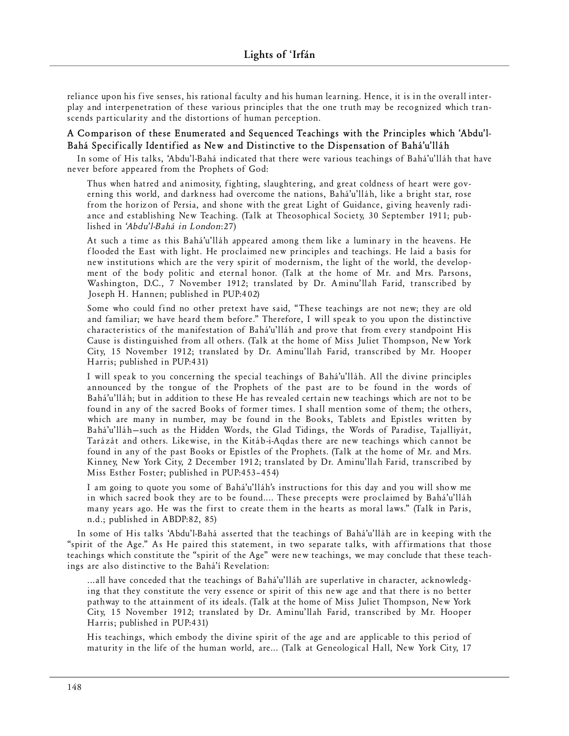reliance upon his five senses, his rational faculty and his human learning. Hence, it is in the overall interplay and interpenetration of these various principles that the one truth may be recognized which transcends particularity and the distortions of human perception.

# **A Comparison of these Enumerated and Sequenced Teachings with the Principles which 'Abdu'l-Bahá Specifically Identified as New and Distinctive to the Dispensation of Bahá'u'lláh**

In some of His talks, 'Abdu'l-Bahá indicated that there were various teachings of Bahá'u'lláh that have never before appeared from the Prophets of God:

Thus when hatred and animosity, fighting, slaughtering, and great coldness of heart were governing this world, and darkness had overcome the nations, Bahá'u'lláh, like a bright star, rose from the horizon of Persia, and shone with the great Light of Guidance, giving heavenly radiance and establishing New Teaching. (Talk at Theosophical Society, 30 September 1911; published in 'Abdu'l-Bahá in London:27)

At such a time as this Bahá'u'lláh appeared among them like a luminary in the heavens. He flooded the East with light. He proclaimed new principles and teachings. He laid a basis for new institutions which are the very spirit of modernism, the light of the world, the development of the body politic and eternal honor. (Talk at the home of Mr. and Mrs. Parsons, Washington, D.C., 7 November 1912; translated by Dr. Aminu'llah Farid, transcribed by Joseph H. Hannen; published in PUP:402)

Some who could find no other pretext have said, "These teachings are not new; they are old and familiar; we have heard them before." Therefore, I will speak to you upon the distinctive characteristics of the manifestation of Bahá'u'lláh and prove that from every standpoint His Cause is distinguished from all others. (Talk at the home of Miss Juliet Thompson, New York City, 15 November 1912; translated by Dr. Aminu'llah Farid, transcribed by Mr. Hooper Harris; published in PUP:431)

I will speak to you concerning the special teachings of Bahá'u'lláh. All the divine principles announced by the tongue of the Prophets of the past are to be found in the words of Bahá'u'lláh; but in addition to these He has revealed certain new teachings which are not to be found in any of the sacred Books of former times. I shall mention some of them; the others, which are many in number, may be found in the Books, Tablets and Epistles written by Bahá'u'lláh-such as the Hidden Words, the Glad Tidings, the Words of Paradise, Tajallíyát, Tarázát and others. Likewise, in the Kitáb-i-Aqdas there are new teachings which cannot be found in any of the past Books or Epistles of the Prophets. (Talk at the home of Mr. and Mrs. Kinney, New York City, 2 December 1912; translated by Dr. Aminu'llah Farid, transcribed by Miss Esther Foster; published in PUP:453-454)

I am going to quote you some of Bahá'u'lláh's instructions for this day and you will show me in which sacred book they are to be found.... These precepts were proclaimed by Bahá'u'lláh many years ago. He was the first to create them in the hearts as moral laws." (Talk in Paris, n.d.; published in ABDP:82, 85)

In some of His talks 'Abdu'l-Bahá asserted that the teachings of Bahá'u'lláh are in keeping with the "spirit of the Age." As He paired this statement, in two separate talks, with affirmations that those teachings which constitute the "spirit of the Age" were new teachings, we may conclude that these teachings are also distinctive to the Bahá'í Revelation:

... all have conceded that the teachings of Bahá'u'lláh are superlative in character, acknowledging that they constitute the very essence or spirit of this new age and that there is no better pathway to the attainment of its ideals. (Talk at the home of Miss Juliet Thompson, New York City, 15 November 1912; translated by Dr. Aminu'llah Farid, transcribed by Mr. Hooper Harris; published in PUP:431)

His teachings, which embody the divine spirit of the age and are applicable to this period of maturity in the life of the human world, are... (Talk at Geneological Hall, New York City, 17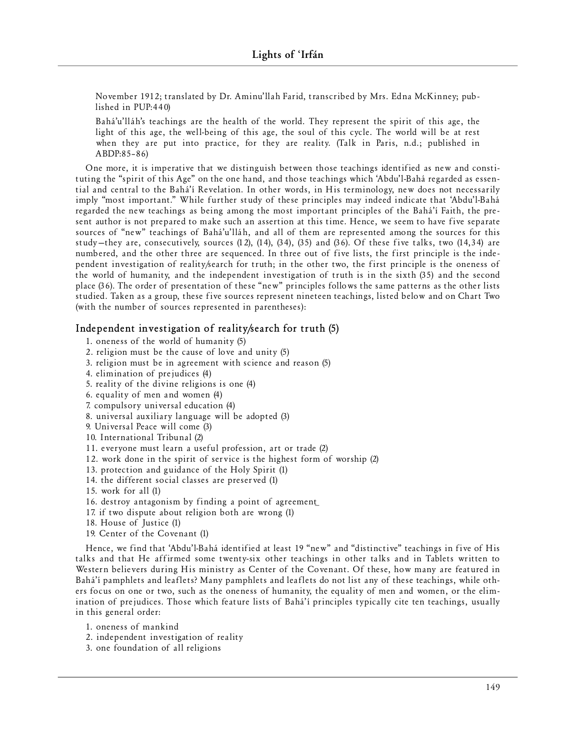November 1912; translated by Dr. Aminu'llah Farid, transcribed by Mrs. Edna McKinney; published in  $PUP:440$ 

Bahá'u'lláh's teachings are the health of the world. They represent the spirit of this age, the light of this age, the well-being of this age, the soul of this cycle. The world will be at rest when they are put into practice, for they are reality. (Talk in Paris, n.d.; published in ABDP:85 – 86)

One more, it is imperative that we distinguish between those teachings identified as new and constituting the "spirit of this Age" on the one hand, and those teachings which 'Abdu'l-Bahá regarded as essential and central to the Bahá'í Revelation. In other words, in His terminology, new does not necessarily imply "most important." While further study of these principles may indeed indicate that 'Abdu'l-Bahá regarded the new teachings as being among the most important principles of the Bahá'í Faith, the present author is not prepared to make such an assertion at this time. Hence, we seem to have five separate sources of "new" teachings of Bahá'u'lláh, and all of them are represented among the sources for this study—they are, consecutively, sources  $(12)$ ,  $(14)$ ,  $(34)$ ,  $(35)$  and  $(36)$ . Of these five talks, two  $(14,34)$  are numbered, and the other three are sequenced. In three out of five lists, the first principle is the independent investigation of reality/search for truth; in the other two, the first principle is the oneness of the world of humanity, and the independent investigation of truth is in the sixth (35) and the second place (36). The order of presentation of these "new" principles follows the same patterns as the other lists studied. Taken as a group, these five sources represent nineteen teachings, listed below and on Chart Two (with the number of sources represented in parentheses):

## **Independent investigation of reality/search for truth (5)**

- 1. oneness of the world of humanity (5)
- 2. religion must be the cause of love and unity  $(5)$
- 3. religion must be in agreement with science and reason (5)
- 4. elimination of prejudices (4)
- 5. reality of the divine religions is one  $(4)$
- 6. equality of men and women  $(4)$
- 7. compuls ory universal education (4)
- 8. universal auxiliary language will be adopted (3)
- 9. Universal Peace will come (3)
- 10. International Tribunal (2)
- 11. everyone must learn a useful profession, art or trade (2)
- 12. work done in the spirit of service is the highest form of worship (2)
- 13. protection and guidance of the Holy Spirit (1)
- 14. the different social classes are preserved (1)
- 15. work for all (1)
- 16. destroy antagonism by finding a point of agreement
- 17. if two dispute about religion both are wrong  $(1)$
- 18. House of Justice (1)
- 19. Center of the Covenant (1)

Hence, we find that 'Abdu'l-Bahá identified at least 19 "new" and "distinctive" teachings in five of His talks and that He affirmed some twenty-six other teachings in other talks and in Tablets written to Western believers during His ministry as Center of the Covenant. Of these, how many are featured in Bahá'í pamphlets and leaflets? Many pamphlets and leaflets do not list any of these teachings, while others focus on one or two, such as the oneness of humanity, the equality of men and women, or the elimination of prejudices. Those which feature lists of Bahá'í principles typically cite ten teachings, usually in this general order:

- 1. oneness of mankind
- 2. independent investigation of reality
- 3. one foundation of all religions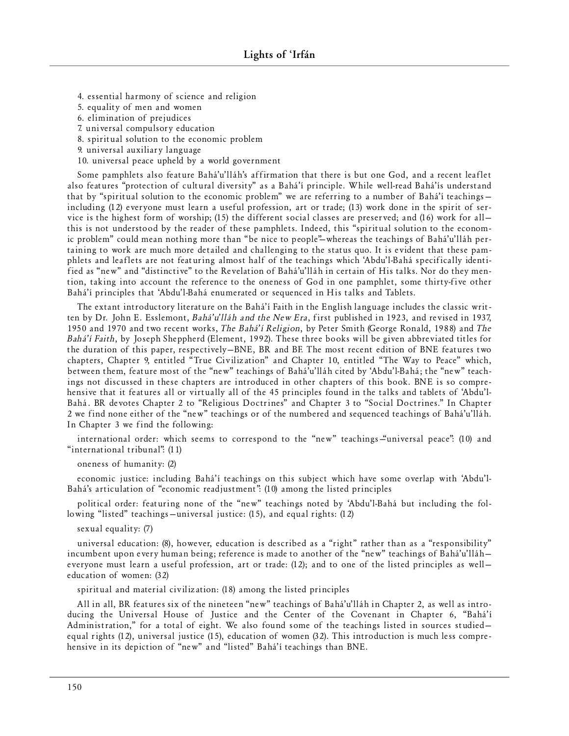- 4. essential harmony of science and religion
- 5. equality of men and women
- 6. elimination of prejudices
- 7. universal compulsory education
- 8. spiritual solution to the economic problem
- 9. universal auxiliary language
- 10. universal peace upheld by a world government

Some pamphlets also feature Bahá'u'lláh's affirmation that there is but one God, and a recent leaflet also features "protection of cultural diversity" as a Bahá'í principle. While well-read Bahá'ís understand that by "spiritual solution to the economic problem" we are referring to a number of Bahá'í teachingsincluding (12) everyone must learn a useful profession, art or trade; (13) work done in the spirit of service is the highest form of worship; (15) the different social classes are preserved; and (16) work for allthis is not understood by the reader of these pamphlets. Indeed, this "spiritual solution to the economic problem" could mean nothing more than "be nice to people"—whereas the teachings of Bahá'u'lláh pertaining to work are much more detailed and challenging to the status quo. It is evident that these pamphlets and leaflets are not featuring almost half of the teachings which 'Abdu'l-Bahá specifically identified as "new" and "distinctive" to the Revelation of Bahá'u'lláh in certain of His talks. Nor do they mention, taking into account the reference to the oneness of God in one pamphlet, some thirty-five other Bahá'í principles that 'Abdu'l-Bahá enumerated or sequenced in His talks and Tablets.

The extant introductory literature on the Bahá'í Faith in the English language includes the classic written by Dr. John E. Esslemont, *Bahá'u'lláh and the New Era*, first published in 1923, and revised in 1937, 1950 and 1970 and two recent works, *The Bahá'í Religion*, by Peter Smith (George Ronald, 1988) and *The Bahá'í Faith*, by Joseph Sheppherd (Element, 1992). These three books will be given abbreviated titles for the duration of this paper, respectively-BNE, BR and BF. The most recent edition of BNE features two chapters, Chapter 9, entitled "True Civilization" and Chapter 10, entitled "The Way to Peace" which, between them, feature most of the "new" teachings of Bahá'u'lláh cited by 'Abdu'l-Bahá; the "new" teachings not discussed in these chapters are introduced in other chapters of this book. BNE is so comprehensive that it features all or virtually all of the 45 principles found in the talks and tablets of 'Abdu'l-Bahá. BR devotes Chapter 2 to "Religious Doctrines" and Chapter 3 to "Social Doctrines." In Chapter 2 we find none either of the "new" teachings or of the numbered and sequenced teachings of Bahá'u'lláh. In Chapter 3 we find the following:

international order: which seems to correspond to the "new" teachings "universal peace": (10) and "international tribunal": (11)

oneness of humanity: (2)

economic justice: including Bahá'í teachings on this subject which have some overlap with 'Abdu'l-Bahá's articulation of "economic readjustment": (10) among the listed principles

political order: featuring none of the "new" teachings noted by 'Abdu'l-Bahá but including the following "listed" teachings—universal justice: (15), and equal rights: (12)

s exual equality: (7)

universal education: (8), however, education is described as a "right" rather than as a "responsibility" incumbent upon every human being; reference is made to another of the "new" teachings of Bahá'u'lláheveryone must learn a useful profession, art or trade:  $(12)$ ; and to one of the listed principles as welleducation of women: (32)

spiritual and material civilization: (18) among the listed principles

All in all, BR features six of the nineteen "new" teachings of Bahá'u'lláh in Chapter 2, as well as introducing the Universal House of Justice and the Center of the Covenant in Chapter 6, "Bahá'í Administration," for a total of eight. We also found some of the teachings listed in sources studiedequal rights (12), universal justice (15), education of women (32). This introduction is much less comprehensive in its depiction of "new" and "listed" Bahá'í teachings than BNE.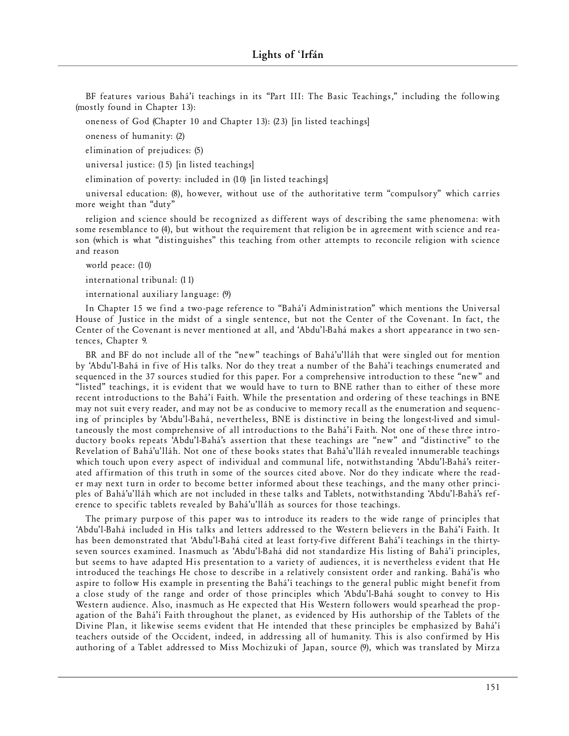BF features various Bahá'í teachings in its "Part III: The Basic Teachings," including the following (mostly found in Chapter 13):

oneness of God (Chapter 10 and Chapter 13): (23) [in listed teachings]

oneness of humanity: (2)

elimination of prejudices: (5)

universal justice: (15) [in listed teachings]

elimination of poverty: included in (10) [in listed teachings]

universal education: (8), however, without use of the authoritative term "compulsory" which carries more weight than "duty"

religion and science should be recognized as different ways of describing the same phenomena: with some resemblance to (4), but without the requirement that religion be in agreement with science and reason (which is what "distinguishes" this teaching from other attempts to reconcile religion with science and reason

world peace: (10)

international tribunal: (11)

international auxiliary language: (9)

In Chapter 15 we find a two-page reference to "Bahá'í Administration" which mentions the Universal House of Justice in the midst of a single sentence, but not the Center of the Covenant. In fact, the Center of the Covenant is never mentioned at all, and 'Abdu'l-Bahá makes a short appearance in two sente nces, Chap ter 9.

BR and BF do not include all of the "new" teachings of Bahá'u'lláh that were singled out for mention by 'Abdu'l-Bahá in five of His talks. Nor do they treat a number of the Bahá'í teachings enumerated and sequenced in the 37 sources studied for this paper. For a comprehensive introduction to these "new" and "listed" teachings, it is evident that we would have to turn to BNE rather than to either of these more recent introductions to the Bahá'í Faith. While the presentation and ordering of these teachings in BNE may not suit every reader, and may not be as conducive to memory recall as the enumeration and sequencing of principles by 'Abdu'l-Bahá, nevertheless, BNE is distinctive in being the longest-lived and simultaneously the most comprehensive of all introductions to the Bahá'í Faith. Not one of these three introductory books repeats 'Abdu'l-Bahá's assertion that these teachings are "new" and "distinctive" to the Revelation of Bahá'u'lláh. Not one of these books states that Bahá'u'lláh revealed innumerable teachings which touch upon every aspect of individual and communal life, notwithstanding 'Abdu'l-Bahá's reiterated affirmation of this truth in some of the sources cited above. Nor do they indicate where the reader may next turn in order to become better informed about these teachings, and the many other principles of Bahá'u'lláh which are not included in these talks and Tablets, notwithstanding 'Abdu'l-Bahá's reference to specific tablets revealed by Bahá'u'lláh as sources for those teachings.

The primary purpose of this paper was to introduce its readers to the wide range of principles that 'Abdu'l-Bahá included in His talks and letters addressed to the Western believers in the Bahá'í Faith. It has been demonstrated that 'Abdu'l-Bahá cited at least forty-five different Bahá'í teachings in the thirtyseven sources examined. Inasmuch as 'Abdu'l-Bahá did not standardize His listing of Bahá'í principles, but seems to have adapted His presentation to a variety of audiences, it is nevertheless evident that He introduced the teachings He chose to describe in a relatively consistent order and ranking. Bahá'ís who aspire to follow His example in presenting the Bahá'í teachings to the general public might benefit from a close study of the range and order of those principles which 'Abdu' l-Bahá sought to convey to His Western audience. Also, inasmuch as He expected that His Western followers would spearhead the propagation of the Bahá'í Faith throughout the planet, as evidenced by His authorship of the Tablets of the Divine Plan, it likewise seems evident that He intended that these principles be emphasized by Bahá'í teachers outside of the Occident, indeed, in addressing all of humanity. This is also confirmed by His authoring of a Tablet addressed to Miss Mochizuki of Japan, source (9), which was translated by Mirza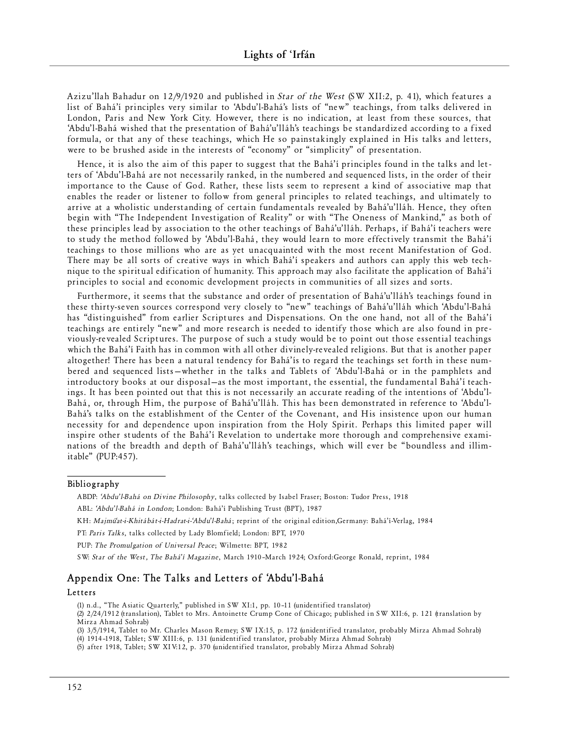Azizu'llah Bahadur on 12/9/1920 and published in *Star of the West* (SW XII:2, p. 41), which features a list of Bahá'í principles very similar to 'Abdu'l-Bahá's lists of "new" teachings, from talks delivered in London, Paris and New York City. However, there is no indication, at least from these sources, that 'Abdu'l-Bahá wished that the presentation of Bahá'u'lláh's teachings be standardized according to a fixed formula, or that any of these teachings, which He so painstakingly explained in His talks and letters, were to be brushed aside in the interests of "economy" or "simplicity" of presentation.

Hence, it is also the aim of this paper to suggest that the Bahá'í principles found in the talks and letters of 'Abdu'l-Bahá are not necessarily ranked, in the numbered and sequenced lists, in the order of their importance to the Cause of God. Rather, these lists seem to represent a kind of associative map that enables the reader or listener to follow from general principles to related teachings, and ultimately to arrive at a wholistic understanding of certain fundamentals revealed by Bahá'u'lláh. Hence, they often begin with "The Independent Investigation of Reality" or with "The Oneness of Mankind," as both of these principles lead by association to the other teachings of Bahá'u'lláh. Perhaps, if Bahá'í teachers were to study the method followed by 'Abdu'l-Bahá, they would learn to more effectively transmit the Bahá'í teachings to those millions who are as yet unacquainted with the most recent Manifestation of God. There may be all sorts of creative ways in which Bahá'í speakers and authors can apply this web technique to the spiritual edification of humanity. This approach may also facilitate the application of Bahá'í principles to social and economic development projects in communities of all sizes and sorts.

Furthermore, it seems that the substance and order of presentation of Bahá'u'lláh's teachings found in these thirty-seven sources correspond very closely to "new" teachings of Bahá'u'lláh which 'Abdu'l-Bahá has "distinguished" from earlier Scriptures and Dispensations. On the one hand, not all of the Bahá'í teachings are entirely "new" and more research is needed to identify those which are also found in previously-revealed Scriptures. The purpose of such a study would be to point out those essential teachings which the Bahá'í Faith has in common with all other divinely-revealed religions. But that is another paper altogether! There has been a natural tendency for Bahá'ís to regard the teachings set forth in these numbered and sequenced lists—whether in the talks and Tablets of 'Abdu'l-Bahá or in the pamphlets and introductory books at our disposal-as the most important, the essential, the fundamental Bahá'í teachings. It has been pointed out that this is not necessarily an accurate reading of the intentions of 'Abdu'l-Bahá, or, through Him, the purpose of Bahá'u'lláh. This has been demonstrated in reference to 'Abdu'l-Bahá's talks on the establishment of the Center of the Covenant, and His insistence upon our human necessity for and dependence upon inspiration from the Holy Spirit. Perhaps this limited paper will inspire other students of the Bahá'í Revelation to undertake more thorough and comprehensive examinations of the breadth and depth of Bahá'u'lláh's teachings, which will ever be "boundless and illimitable" (PUP:457).

#### **Bibl i o g raph y**

ABDP: 'Abdu' l-Bahá on Divine Philosophy, talks collected by Isabel Fraser; Boston: Tudor Press, 1918 ABL: 'Abdu' l-Bahá in London; London: Bahá'í Publishing Trust (BPT), 1987

KH: Majmú'at-i-Khitábát-i-Hadrat-i-'Abdu'l-Bahá; reprint of the original edition,Germany: Bahá'í-Verlag, 1984

PT: Paris Talks, talks collected by Lady Blomfield; London: BPT, 1970

PUP: The Promulgation of Universal Peace; Wilmette: BPT, 1982

SW: Star of the West, The Bahá'í Magazine, March 1910-March 1924; Oxford:George Ronald, reprint, 1984

# **Appendix One: The Talks and Letters of 'Abdu'l-Bahá**

#### **L e t te rs**

(1) n.d., "The Asiatic Quarterly," published in SW XI:1, pp. 10-11 (unidentified translator)

(2) 2/24/1912 (translation), Tablet to Mrs. Antoinette Crump Cone of Chicago; published in SW XII:6, p. 121 (translation by Mirza Ahm ad Sohrab)

(3) 3/5/1914, Tablet to Mr. Charles Mason Remey; SW IX:15, p. 172 (unidentified translator, probably Mirza Ahmad Sohrab) (4) 1914-1918, Tablet; SW XIII:6, p. 131 (unidentified translator, probably Mirza Ahmad Sohrab)

(5) after 1918, Tablet; SW XIV:12, p. 370 (unidentified translator, probably Mirza Ahmad Sohrab)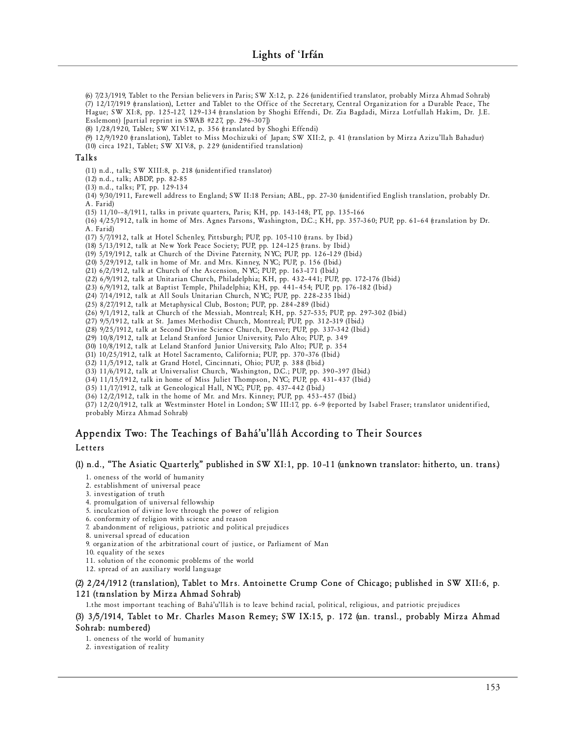(6) 7/23/1919, Tablet to the Persian believers in Paris; SW X:12, p. 226 (unidentified translator, probably Mirza Ahmad Sohrab) (7) 12/17/1919 (translation), Letter and Tablet to the Office of the Secretary, Central Organization for a Durable Peace, The Hague; SW XI:8, pp. 125-127, 129-134 (translation by Shoghi Effendi, Dr. Zia Bagdadi, Mirza Lotfullah Hakim, Dr. J.E. Esslemont) [partial reprint in SWAB #227, pp. 296-307])

(8) 1/28/1920, Tablet; SW XIV:12, p. 356 (translated by Shoghi Effendi)

(9) 12/9/1920 (translation), Tablet to Miss Mochizuki of Japan; SW XII:2, p. 41 (translation by Mirza Azizu'llah Bahadur) (10) circa 1921, Tablet; SW XIV:8, p. 229 (unidentified translation)

#### **Talk s**

(11) n.d., talk; SW XIII:8, p. 218 (unidentified translator)

(12) n.d., talk; ABDP, pp. 82-85

(13) n.d., talks; PT, pp. 129-134

(14) 9/30/1911, Farewell address to England; SW II:18 Persian; ABL, pp. 27-30 (unidentified English translation, probably Dr. A. Far id)

(15) 11/10--8/1911, talks in private quarters, Paris; KH, pp. 143-148; PT, pp. 135-166

(16) 4/25/1912, talk in home of Mrs. Agnes Parsons, Washington, D.C.; KH, pp. 357-360; PUP, pp. 61-64 (translation by Dr. A. Far id)

(17) 5/7/1912, talk at Hotel Schenley, Pittsburgh; PUP, pp. 105-110 (trans. by Ibid.)

(18) 5/13/1912, talk at New York Peace Society; PUP, pp. 124-125 (trans. by Ibid.)

(19)  $5/19/1912$ , talk at Church of the Divine Paternity, NYC; PUP, pp.  $126-129$  (Ibid.)

(20) 5/29/1912, talk in home of Mr. and Mrs. Kinney, NYC; PUP, p. 156 (Ibid.)

(21) 6/2/1912, talk at Church of the Ascension, NYC; PUP, pp. 163-171 (Ibid.)

(22) 6/9/1912, talk at Unitarian Church, Philadelphia; KH, pp. 432-441; PUP, pp. 172-176 (Ibid.)

(23) 6/9/1912, talk at Baptist Temple, Philadelphia; KH, pp. 441-454; PUP, pp. 176-182 (Ibid.)

(24) 7/14/1912, talk at All Souls Unitarian Church, NYC; PUP, pp. 228-235 Ibid.)

(25) 8/27/1912, talk at Metaphysical Club, Boston; PUP, pp. 284-289 (Ibid.)

 $(26)$  9/1/1912, talk at Church of the Messiah, Montreal; KH, pp. 527-535; PUP, pp. 297-302 (Ibid.)

(27) 9/5/1912, talk at St. James Methodist Church, Montreal; PUP, pp. 312-319 (Ibid.)

(28) 9/25/1912, talk at Second Divine Science Church, Denver; PUP, pp. 337-342 (Ibid.) (29) 10/8/1912, talk at Leland Stanford Junior University, Palo Alto; PUP, p. 349

(30) 10/8/1912, talk at Leland Stanford Junior University, Palo Alto; PUP, p. 354

(31) 10/25/1912, talk at Hotel Sacramento, California; PUP, pp. 370-376 (Ibid.)

(32) 11/5/1912, talk at Grand Hotel, Cincinnati, Ohio; PUP, p. 388 (Ibid.)

 $(33)$   $11/6/1912$ , talk at Universalist Church, Washington, D.C.; PUP, pp. 390-397 (Ibid.)

 $(34)$  11/15/1912, talk in home of Miss Juliet Thompson, NYC; PUP, pp. 431-437 (Ibid.)

(35) 11/17/1912, talk at Geneological Hall, NYC; PUP, pp. 437-442 (Ibid.)

 $(36)$   $12/2/1912$ , talk in the home of Mr. and Mrs. Kinney; PUP, pp. 453-457 (Ibid.)

(37) 12/20/1912, talk at Westminster Hotel in London; SW III:17, pp. 6-9 (reported by Isabel Fraser; translator unidentified, probably Mirza Ahmad Sohrab)

# **Appendix Two: The Teachings of Bahá'u'lláh According to Their Sources**

## **L e t te rs**

**(1) n.d., "The Asiatic Quarterly," published in SW XI:1, pp. 10–11 (unknown translator: hitherto, un. trans.)**

1. oneness of the world of humanity

2. establishment of universal peace

3. investigation of truth

4. promulgation of universal fellowship

5. inculcation of divine love through the power of religion

6. conformity of religion with science and reason

7. abandonment of religious, patriotic and political prejudices

8. universal spread of education

9. organization of the arbitrational court of justice, or Parliament of Man

10. equality of the sexes

11. solution of the economic problems of the world

12. spread of an auxiliary world language

**(2) 2/24/1912 (translation), Tablet to Mrs. Antoinette Crump Cone of Chicago; published in SW XII:6, p. 121 (translation by Mirza Ahmad Sohrab)**

1.the most important teaching of Bahá'u'lláh is to leave behind racial, political, religious, and patriotic prejudices

## **(3) 3/5/1914, Tablet to Mr. Charles Mason Remey; SW IX:15, p. 172 (un. transl., probably Mirza Ahmad Sohrab: numbered)**

1. oneness of the world of humanity

2. investigation of reality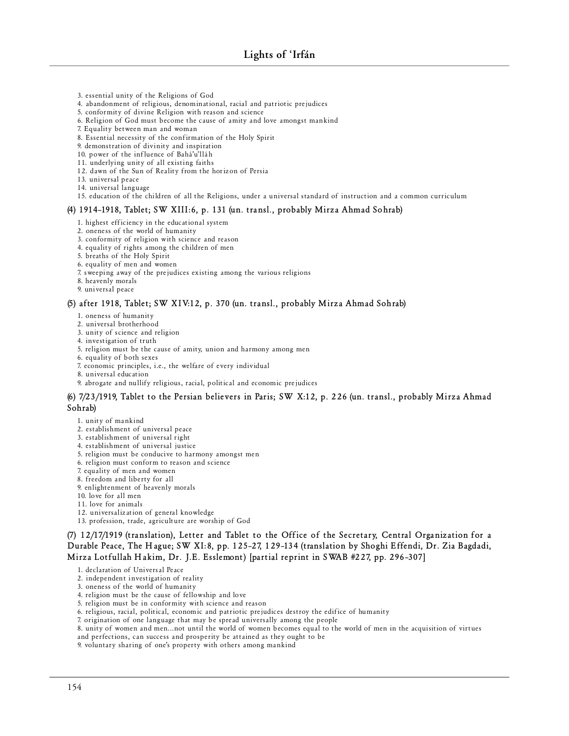- 3. essential unity of the Religions of God
- 4. abandonment of religious, denominational, racial and patriotic prejudices
- 5. conformity of divine Religion with reason and science
- 6. Religion of God must become the cause of amity and love amongst mankind
- 7. Equality between man and woman
- 8. Essential necessity of the confirmation of the Holy Spirit

9. demonstration of divinity and inspiration

- 10. power of the influence of Bahá'u'lláh
- 11. underlying unity of all existing faiths
- 12. dawn of the Sun of Reality from the horizon of Persia
- 13. universal peace
- 14. universal language
- 15. education of the children of all the Religions, under a universal standard of instruction and a common curriculum

#### **(4) 1914–1918, Tablet; SW XIII:6, p. 131 (un. transl., probably Mirza Ahmad Sohrab)**

- 1. highest efficiency in the educational system
- 2. oneness of the world of humanity
- 3. conformity of religion with science and reason
- 4. equality of rights among the children of men
- 5. breaths of the Holy Spirit
- 6. equality of men and women
- 7. sweeping away of the prejudices existing among the various religions
- 8. heavenly morals
- 9. universal peace

#### **(5) after 1918, Tablet; SW XIV:12, p. 370 (un. transl., probably Mirza Ahmad Sohrab)**

- 1. oneness of humanity
- 2. universal brotherhood
- 3. unity of science and religion
- 4. investigation of truth
- 5. religion must be the cause of amity, union and harmony among men
- 6. equality of both sexes
- 7. economic principles, i.e., the welfare of every individual
- 8. universal education
- 9. abrogate and nullify religious, racial, political and economic prejudices

## **(6) 7/23/1919, Tablet to the Persian believers in Paris; SW X:12, p. 226 (un. transl., probably Mirza Ahmad Sohrab)**

- 1. unity of mankind
- 2. establishment of universal peace
- 3. establishment of universal right
- 4. establishment of universal justice
- 5. religion must be conducive to harmony amongst men
- 6. religion must conform to reason and science
- 7. equality of men and women
- 8. fre edom and liberty for all
- 9. enlightenment of heavenly morals
- 10. love for all men
- 11. love for animals
- 12. universalization of general knowledge
- 13. profession, trade, agriculture are worship of God

**(7) 12/17/1919 (translation), Letter and Tablet to the Office of the Secretary, Central Organization for a Durable Peace, The Hague; SW XI:8, pp. 125–27, 129–134 (translation by Shoghi Effendi, Dr. Zia Bagdadi, Mirza Lotfullah Hakim, Dr. J.E. Esslemont) [partial reprint in SWAB #227, pp. 296–307]**

- 1. declaration of Universal Peace
- 2. independent investigation of reality
- 3. oneness of the world of humanity
- 4. religion must be the cause of fellowship and love
- 5. religion must be in conformity with science and reason
- 6. religious, racial, political, economic and patriotic prejudices destroy the edifice of humanity
- 7. origination of one language that may be spread universally among the people
- 8. unity of women and men...not until the world of women becomes equal to the world of men in the acquisition of virtues and perfections, can success and prosperity be attained as they ought to be
- 9. voluntary sharing of one's property with others among mankind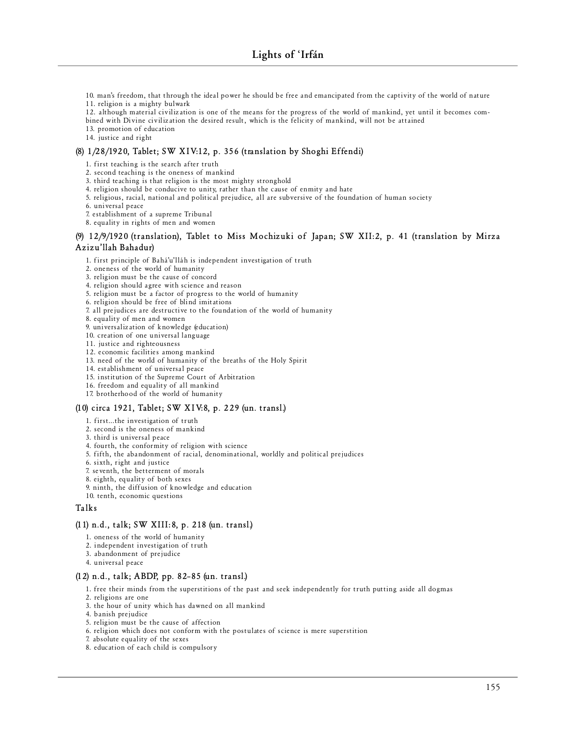10. man's freedom, that through the ideal power he should be free and emancipated from the captivity of the world of nature 11. religion is a mighty bulwark

12. although material civilization is one of the means for the progress of the world of mankind, yet until it becomes combined with Divine civilization the desired result, which is the felicity of mankind, will not be attained

13. promotion of education

14. justice and right

## **(8) 1/28/1920, Tablet; SW XIV:12, p. 356 (translation by Shoghi Effendi)**

1. first teaching is the search after truth

2. second teaching is the oneness of mankind

3. third teaching is that religion is the most mighty stronghold

4. religion should be conducive to unity, rather than the cause of enmity and hate

5. religious, racial, national and political prejudice, all are subversive of the foundation of human society

6. universal peace

7. establishment of a supreme Tribunal

8. equality in rights of men and women

## **(9) 12/9/1920 (translation), Tablet to Miss Mochizuki of Japan; SW XII:2, p. 41 (translation by Mirza Azizu'llah Bahadur)**

1. first principle of Bahá'u'lláh is independent investigation of truth

2. oneness of the world of humanity

3. religion must be the cause of concord

4. religion should agree with science and reason

5. religion must be a factor of progress to the world of humanity

6. religion should be free of blind imitations

7. all prejudices are destructive to the foundation of the world of humanity

8. equality of men and women

9. universalization of knowledge (education)

10. creation of one universal language

11. justice and righteousness

12. economic facilities among mankind

13. need of the world of humanity of the breaths of the Holy Spirit

14. establishment of universal peace

15. institution of the Supreme Court of Arbitration

16. freedom and equality of all mankind

17. brotherhood of the world of humanity

#### **(10) circa 1921, Tablet; SW XIV:8, p. 229 (un. transl.)**

1. first...the investigation of truth

2. second is the oneness of mankind

3. third is universal peace

4. fourth, the conformity of religion with science

5. fifth, the abandonment of racial, denominational, worldly and political prejudices

6. sixth, right and justice

7. seventh, the betterment of morals

8. eighth, equality of both sexes

9. ninth, the diffusion of knowledge and education

10. tenth, economic questions

## **Talk s**

#### **(11) n.d., talk; SW XIII:8, p. 218 (un. transl.)**

1. oneness of the world of humanity

2. independent investigation of truth

3. abandonment of prejudice

4. un ive rsal peace

## **(12) n.d., talk; ABDP, pp. 82–85 (un. transl.)**

1. free their minds from the superstitions of the past and seek independently for truth putting aside all dogmas

- 2. religions are one
- 3. the hour of unity which has dawned on all mankind
- 4. banish prejudice
- 5. religion must be the cause of affection
- 6. religion which does not conform with the postulates of science is mere superstition
- 7. absolute equality of the sexes
- 8. education of each child is compulsory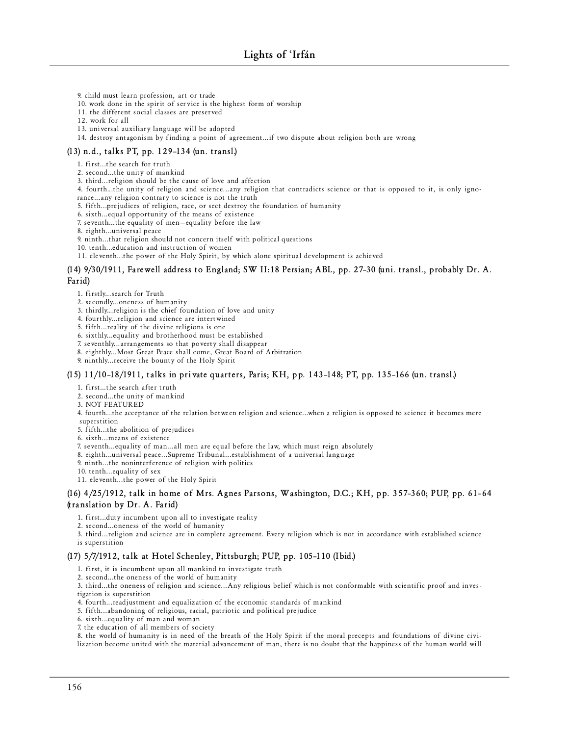9. child must learn profession, art or trade

10. work done in the spirit of service is the highest form of worship

11. the different social classes are preserved

12. work for all

13. universal auxiliary language will be adopted

14. destroy antagonism by finding a point of agreement...if two dispute about religion both are wrong

## **(13) n.d., talks PT, pp. 129–134 (un. transl.)**

1. first...the search for truth

2. second...the unity of mankind

3. third... religion should be the cause of love and affection

4. fourth...the unity of religion and science...any religion that contradicts science or that is opposed to it, is only igno-

rance... any religion contrary to science is not the truth

5. fifth...prejudices of religion, race, or sect destroy the foundation of humanity

6. sixth...equal opportunity of the means of existence

7. seventh...the equality of men-equality before the law

8. eighth...universal peace

9. ninth...that religion should not concern itself with political questions

10. tenth...education and instruction of women

11. eleventh...the power of the Holy Spirit, by which alone spiritual development is achieved

## **(14) 9/30/1911, Farewell address to England; SW II:18 Persian; ABL, pp. 27–30 (uni. transl., probably Dr. A. Farid)**

1. firstly...search for Truth

2. secondly...oneness of humanity

3. thirdly... religion is the chief foundation of love and unity

4. fourthly... religion and science are intertwined

5. fifth... reality of the divine religions is one

6. sixthly...equality and brotherhood must be established

7. seventhly... ar rangements so that poverty shall disappear

8. eighthly... Most Great Peace shall come, Great Board of Arbitration

9. ninthly... receive the bounty of the Holy Spirit

## **(15) 11/10–18/1911, talks in private quarters, Paris; KH, pp. 143–148; PT, pp. 135–166 (un. transl.)**

1. first...the search after truth

2. second...the unity of mankind

3. NOT FEATUR ED

4. fourth...the acceptance of the relation between religion and science...when a religion is opposed to science it becomes mere

superstition

5. fifth...the abolition of prejudices

6. sixth...means of existence

7. seventh...equality of man...all men are equal before the law, which must reign absolutely

8. eighth...universal peace... Supreme Tribunal...establishment of a universal language

9. ninth...the noninterference of religion with politics

10. tenth...equality of sex

11. eleventh...the power of the Holy Spirit

## **(16) 4/25/1912, talk in home of Mrs. Agnes Parsons, Washington, D.C.; KH, pp. 357–360; PUP, pp. 61–64 (translation by Dr. A. Farid)**

1. first...duty incumbent upon all to investigate reality

2. second...oneness of the world of humanity

3. third... religion and science are in complete agreement. Every religion which is not in accordance with established science is superstition

## **(17) 5/7/1912, talk at Hotel Schenley, Pittsburgh; PUP, pp. 105–110 (Ibid.)**

1. first, it is incumbent upon all mankind to investigate truth

2. second ... the oneness of the world of humanity

3. third ... the oneness of religion and science ... Any religious belief which is not conformable with scientific proof and investigation is superstition

4. fourth... readjustment and equalization of the economic standards of mankind

5. fifth...abandoning of religious, racial, patriotic and political prejudice

6. sixth...equality of man and woman

7. the education of all members of society

8. the world of humanity is in need of the breath of the Holy Spirit if the moral precepts and foundations of divine civilization become united with the material advancement of man, there is no doubt that the happiness of the human world will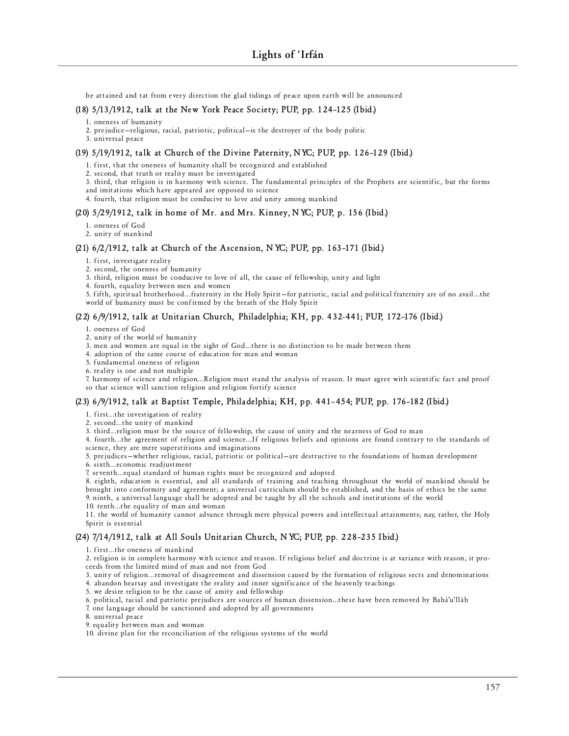be attained and tat from every direction the glad tidings of peace upon earth will be announced

## **(18) 5/13/1912, talk at the New York Peace Society; PUP, pp. 124–125 (Ibid.)**

- 1. oneness of humanity
- 2. prejudice-religious, racial, patriotic, political-is the destroyer of the body politic
- 3. un ive rsal peace

## **(19) 5/19/1912, talk at Church of the Divine Paternity, NYC; PUP, pp. 126–129 (Ibid.)**

1. first, that the oneness of humanity shall be recognized and established

2. second, that truth or reality must be investigated

3. third, that religion is in harmony with science. The fundamental principles of the Prophets are scientific, but the forms

and imitations which have appeared are opposed to science

4. fourth, that religion must be conducive to love and unity among mankind

#### **(20) 5/29/1912, talk in home of Mr. and Mrs. Kinney, NYC; PUP, p. 156 (Ibid.)**

1. oneness of God

2. unity of mankind

## **(21) 6/2/1912, talk at Church of the Ascension, NYC; PUP, pp. 163–171 (Ibid.)**

- 1. first, investigate reality
- 2. second, the oneness of humanity
- 3. third, religion must be conducive to love of all, the cause of fellowship, unity and light
- 4. fourth, equality between men and women

5. fifth, spiritual brotherhood...fraternity in the Holy Spirit-for patriotic, racial and political fraternity are of no avail...the world of humanity must be confirmed by the breath of the Holy Spirit

## **(22) 6/9/1912, talk at Unitarian Church, Philadelphia; KH, pp. 432-441; PUP, 172–176 (Ibid.)**

1. oneness of God

- 2. unity of the world of humanity
- 3. men and women are equal in the sight of God...there is no distinction to be made between them
- 4. adoption of the same course of education for man and woman
- 5. fundamental oneness of religion
- $6.$  reality is one and not multiple

7. harmony of science and religion...Religion must stand the analysis of reason. It must agree with scientific fact and proof so that science will sanction religion and religion fortify science

#### **(23) 6/9/1912, talk at Baptist Temple, Philadelphia; KH, pp. 441–454; PUP, pp. 176–182 (Ibid.)**

## 1. first...the investigation of reality

2. second...the unity of mankind

3. third... religion must be the source of fellowship, the cause of unity and the nearness of God to man

4. fourth...the agreement of religion and science...If religious beliefs and opinions are found contrary to the standards of science, they are mere superstitions and imaginations

5. prejudices-whether religious, racial, patriotic or political-are destructive to the foundations of human development

6. sixth...economic readjustment

7. seventh...equal standard of human rights must be recognized and adopted

8. eighth, education is essential, and all standards of training and teaching throughout the world of mankind should be brought into conformity and agreement; a universal curriculum should be established, and the basis of ethics be the same 9. ninth, a universal language shall be adopted and be taught by all the schools and institutions of the world 10. tenth...the equality of man and woman

11. the world of humanity cannot advance through mere physical powers and intellectual attainments; nay, rather, the Holy Spirit is essential

## **(24) 7/14/1912, talk at All Souls Unitarian Church, NYC; PUP, pp. 228–235 Ibid.)**

#### 1. first...the oneness of mankind

2. religion is in complete harmony with science and reason. If religious belief and doctrine is at variance with reason, it proceeds from the limited mind of man and not from God

3. unity of religion... removal of disagreement and dissension caused by the formation of religious sects and denominations 4. abandon hearsay and investigate the reality and inner significance of the heavenly teachings

5. we desire religion to be the cause of amity and fellowship

6. political, racial and patriotic prejudices are sources of human dissension...these have been removed by Bahá'u'lláh

7. one language should be sanctioned and adopted by all governments

8. universal peace

9. equality between man and woman

10. divine plan for the reconciliation of the religious systems of the world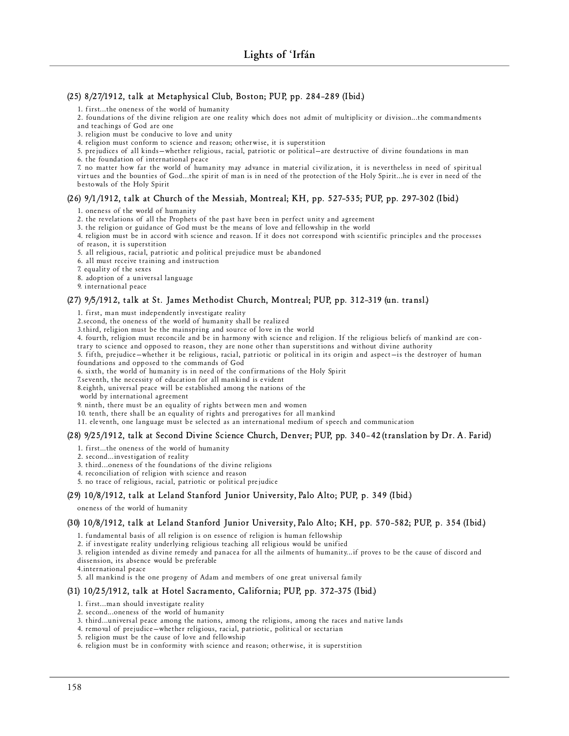## **(25) 8/27/1912, talk at Metaphysical Club, Boston; PUP, pp. 284–289 (Ibid.)**

1. first...the oneness of the world of humanity

2. foundations of the divine religion are one reality which does not admit of multiplicity or division...the commandments and teachings of God are one

3. religion must be conducive to love and unity

4. religion must conform to science and reason; otherwise, it is superstition

5. prejudices of all kinds-whether religious, racial, patriotic or political-are destructive of divine foundations in man

6. the foundation of international peace

7. no matter how far the world of humanity may advance in material civilization, it is nevertheless in need of spiritual virtues and the bounties of God...the spirit of man is in need of the protection of the Holy Spirit...he is ever in need of the bestowals of the Holy Spirit

## **(26) 9/1/1912, talk at Church of the Messiah, Montreal; KH, pp. 527–535; PUP, pp. 297–302 (Ibid.)**

1. oneness of the world of humanity

2. the revelations of all the Prophets of the past have been in perfect unity and agreement

3. the religion or guidance of God must be the means of love and fellowship in the world

4. religion must be in accord with science and reason. If it does not correspond with scientific principles and the processes of reason, it is superstition

5. all religious, racial, patriotic and political prejudice must be abandoned

6. all must receive training and instruction

7. equality of the sexes

8. adoption of a universal language

9. international peace

## **(27) 9/5/1912, talk at St. James Methodist Church, Montreal; PUP, pp. 312–319 (un. transl.)**

1. first, man must independently investigate reality

2. second, the oneness of the world of humanity shall be realized

3.third, religion must be the mainspring and source of love in the world

4. fourth, religion must reconcile and be in harmony with science and religion. If the religious beliefs of mankind are con-

trary to science and opposed to reason, they are none other than superstitions and without divine authority

5. fifth, prejudice—whether it be religious, racial, patriotic or political in its origin and aspect—is the destroyer of human foundations and opposed to the commands of God

6. sixth, the world of humanity is in need of the confirmations of the Holy Spirit

7. seventh, the necessity of education for all mankind is evident

8.eighth, universal peace will be established among the nations of the

world by international agreement

9. ninth, there must be an equality of rights between men and women

10. tenth, there shall be an equality of rights and prerogatives for all mankind

11. eleventh, one language must be selected as an international medium of speech and communication

## **(28) 9/25/1912, talk at Second Divine Science Church, Denver; PUP, pp. 340–42 (translation by Dr. A. Farid)**

1. first...the oneness of the world of humanity

2. second... investigation of reality

3. third...oneness of the foundations of the divine religions

4. reconciliation of religion with science and reason

5. no trace of religious, racial, patriotic or political prejudice

## **(29) 10/8/1912, talk at Leland Stanford Junior University, Palo Alto; PUP, p. 349 (Ibid.)**

oneness of the world of humanity

#### **(30) 10/8/1912, talk at Leland Stanford Junior University, Palo Alto; KH, pp. 570–582; PUP, p. 354 (Ibid.)**

1. fundamental basis of all religion is on essence of religion is human fellowship

2. if investigate reality underlying religious teaching all religious would be unified

3. religion intended as divine remedy and panacea for all the ailments of humanity...if proves to be the cause of discord and

dissension, its absence would be preferable

4. international peace

5. all mankind is the one progeny of Adam and members of one great universal family

## **(31) 10/25/1912, talk at Hotel Sacramento, California; PUP, pp. 372–375 (Ibid.)**

1. first...man should investigate reality

2. second...oneness of the world of humanity

3. third...universal peace among the nations, among the religions, among the races and native lands

4. removal of prejudice-whether religious, racial, patriotic, political or sectarian

5. religion must be the cause of love and fellowship

6. religion must be in conformity with science and reason; otherwise, it is superstition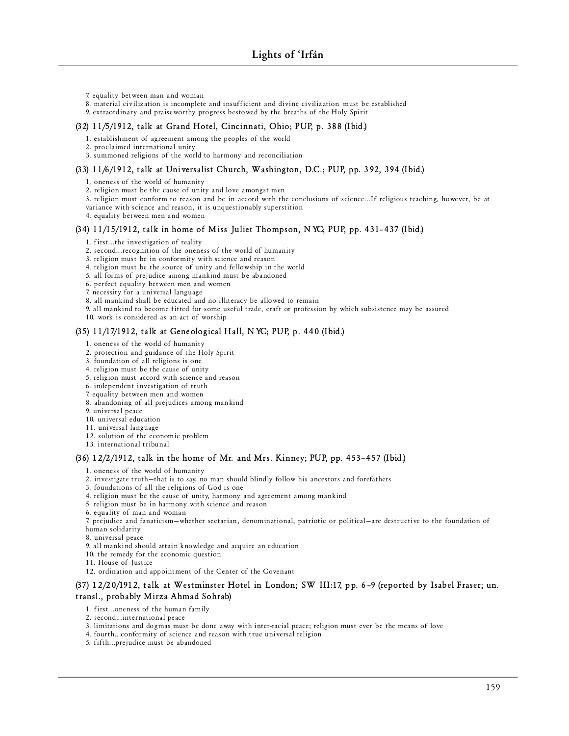- 7. equality between man and woman
- 8. material civilization is incomplete and insufficient and divine civilization must be established
- 9. extraordinary and praise worthy progress bestowed by the breaths of the Holy Spirit

#### **(32) 11/5/1912, talk at Grand Hotel, Cincinnati, Ohio; PUP, p. 388 (Ibid.)**

1. establishment of agreement among the peoples of the world

- 2. proclaimed international unity
- 3. summoned religions of the world to harmony and reconciliation

#### **(33) 11/6/1912, talk at Universalist Church, Washington, D.C.; PUP, pp. 392, 394 (Ibid.)**

1. oneness of the world of humanity

2. religion must be the cause of unity and love amongst men

3. religion must conform to reason and be in accord with the conclusions of science...If religious teaching, however, be at

variance with science and reason, it is unquestionably superstition

4. equality between men and women

#### **(34) 11/15/1912, talk in home of Miss Juliet Thompson, NYC; PUP, pp. 431–437 (Ibid.)**

- 1. first...the investigation of reality
- 2. second... recognition of the oneness of the world of humanity
- 3. religion must be in conformity with science and reason

4. religion must be the source of unity and fellowship in the world

5. all forms of prejudice among mankind must be abandoned

6. perfect equality between men and women

- 7. necessity for a universal language
- 8. all mankind shall be educated and no illiteracy be allowed to remain
- 9. all mankind to become fitted for some useful trade, craft or profession by which subsistence may be assured
- 10. work is considered as an act of worship

## **(35) 11/17/1912, talk at Geneological Hall, NYC; PUP, p. 440 (Ibid.)**

1. oneness of the world of humanity

- 2. protection and guidance of the Holy Spirit
- 3. foundation of all religions is one
- 4. religion must be the cause of unity
- 5. religion must accord with science and reason
- 6. independent investigation of truth
- 7. equality between men and women
- 8. abandoning of all prejudices among mankind
- 9. universal peace
- 10. universal education
- 11. universal language
- 12. solution of the economic problem
- 13. international tribunal

#### **(36) 12/2/1912, talk in the home of Mr. and Mrs. Kinney; PUP, pp. 453–457 (Ibid.)**

1. oneness of the world of humanity

- 2. investigate truth-that is to say, no man should blindly follow his ancestors and forefathers
- 3. foundations of all the religions of God is one
- 4. religion must be the cause of unity, harmony and agreement among mankind
- 5. religion must be in harmony with science and reason
- 6. equality of man and woman

7. prejudice and fanaticism-whether sectarian, denominational, patriotic or political-are destructive to the foundation of human solidarity

8. universal peace

- 9. all mankind should attain knowledge and acquire an education
- 10. the remedy for the economic question
- 11. House of Justice
- 12. ordination and appointment of the Center of the Covenant

## **(37) 12/20/1912, talk at Westminster Hotel in London; SW III:17, pp. 6–9 (reported by Isabel Fraser; un. transl., probably Mirza Ahmad Sohrab)**

#### 1. first...oneness of the human family

- 2. second... international peace
- 3. limitations and dogmas must be done away with inter-racial peace; religion must ever be the means of love
- 4. fourth...conformity of science and reason with true universal religion
- 5. fifth...prejudice must be abandoned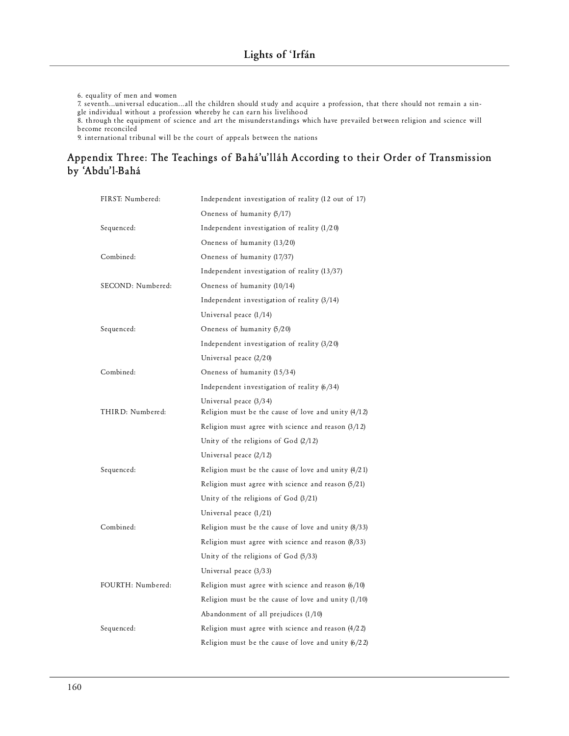6. equality of men and women

7. seventh...universal education...all the children should study and acquire a profession, that there should not remain a single individual without a profession whereby he can earn his livelihood

8. through the equipment of science and art the misunderstandings which have prevailed between religion and science will become reconciled

9. international tribunal will be the court of appeals between the nations

# **Appendix Three: The Teachings of Bahá'u'lláh According to their Order of Transmission by 'Abdu'l-Bahá**

| FIRST: Numbered:  | Independent investigation of reality (12 out of 17)                             |
|-------------------|---------------------------------------------------------------------------------|
|                   | Oneness of humanity (5/17)                                                      |
| Sequenced:        | Independent investigation of reality $(1/20)$                                   |
|                   | Oneness of humanity (13/20)                                                     |
| Combined:         | Oneness of humanity (17/37)                                                     |
|                   | Independent investigation of reality $(13/37)$                                  |
| SECOND: Numbered: | Oneness of humanity (10/14)                                                     |
|                   | Independent investigation of reality $(3/14)$                                   |
|                   | Universal peace $(1/14)$                                                        |
| Sequenced:        | Oneness of humanity (5/20)                                                      |
|                   | Independent investigation of reality $(3/20)$                                   |
|                   | Universal peace $(2/20)$                                                        |
| Combined:         | Oneness of humanity (15/34)                                                     |
|                   | Independent investigation of reality $(6/34)$                                   |
| THIRD: Numbered:  | Universal peace (3/34)<br>Religion must be the cause of love and unity $(4/12)$ |
|                   | Religion must agree with science and reason $(3/12)$                            |
|                   | Unity of the religions of God $(2/12)$                                          |
|                   | Universal peace $(2/12)$                                                        |
| Sequenced:        | Religion must be the cause of love and unity $(4/21)$                           |
|                   | Religion must agree with science and reason $(5/21)$                            |
|                   | Unity of the religions of God $(3/21)$                                          |
|                   | Universal peace $(1/21)$                                                        |
| Combined:         | Religion must be the cause of love and unity $(8/33)$                           |
|                   | Religion must agree with science and reason $(8/33)$                            |
|                   | Unity of the religions of God (5/33)                                            |
|                   | Universal peace $(3/33)$                                                        |
| FOURTH: Numbered: | Religion must agree with science and reason $(6/10)$                            |
|                   | Religion must be the cause of love and unity $(1/10)$                           |
|                   | Abandonment of all prejudices $(1/10)$                                          |
| Sequenced:        | Religion must agree with science and reason $(4/22)$                            |
|                   | Religion must be the cause of love and unity $(6/22)$                           |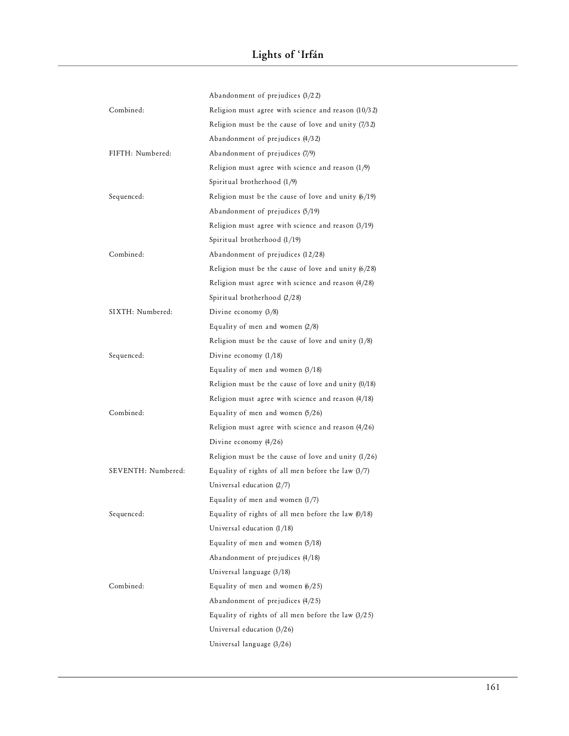|                    | Abandonment of prejudices $(3/22)$                    |
|--------------------|-------------------------------------------------------|
| Combined:          | Religion must agree with science and reason (10/32)   |
|                    | Religion must be the cause of love and unity $(7/32)$ |
|                    | Abandonment of prejudices (4/32)                      |
| FIFTH: Numbered:   | Abandonment of prejudices (7/9)                       |
|                    | Religion must agree with science and reason $(1/9)$   |
|                    | Spiritual brotherhood (1/9)                           |
| Sequenced:         | Religion must be the cause of love and unity $(6/19)$ |
|                    | Abandonment of prejudices (5/19)                      |
|                    | Religion must agree with science and reason $(3/19)$  |
|                    | Spiritual brotherhood $(1/19)$                        |
| Combined:          | Abandonment of prejudices (12/28)                     |
|                    | Religion must be the cause of love and unity $(6/28)$ |
|                    | Religion must agree with science and reason $(4/28)$  |
|                    | Spiritual brotherhood (2/28)                          |
| SIXTH: Numbered:   | Divine economy $(3/8)$                                |
|                    | Equality of men and women $(2/8)$                     |
|                    | Religion must be the cause of love and unity $(1/8)$  |
| Sequenced:         | Divine economy $(1/18)$                               |
|                    | Equality of men and women $(3/18)$                    |
|                    | Religion must be the cause of love and unity $(0/18)$ |
|                    | Religion must agree with science and reason $(4/18)$  |
| Combined:          | Equality of men and women $(5/26)$                    |
|                    | Religion must agree with science and reason $(4/26)$  |
|                    | Divine economy $(4/26)$                               |
|                    | Religion must be the cause of love and unity $(1/26)$ |
| SEVENTH: Numbered: | Equality of rights of all men before the law $(3/7)$  |
|                    | Universal education (2/7)                             |
|                    | Equality of men and women $(1/7)$                     |
| Sequenced:         | Equality of rights of all men before the law $(0/18)$ |
|                    | Universal education $(1/18)$                          |
|                    | Equality of men and women (5/18)                      |
|                    | Abandonment of prejudices (4/18)                      |
|                    | Universal language (3/18)                             |
| Combined:          | Equality of men and women $(6/25)$                    |
|                    | Abandonment of prejudices (4/25)                      |
|                    | Equality of rights of all men before the law $(3/25)$ |
|                    | Universal education $(3/26)$                          |
|                    | Universal language (3/26)                             |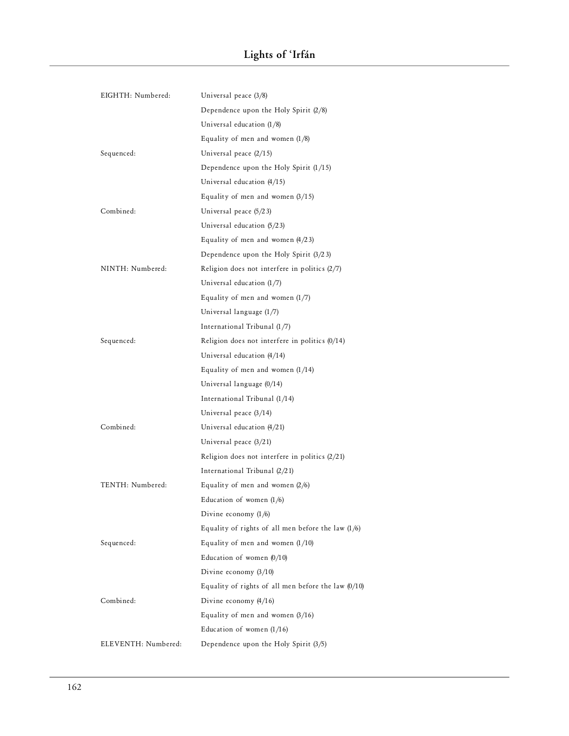| EIGHTH: Numbered:   | Universal peace $(3/8)$                               |
|---------------------|-------------------------------------------------------|
|                     | Dependence upon the Holy Spirit $(2/8)$               |
|                     | Universal education $(1/8)$                           |
|                     | Equality of men and women $(1/8)$                     |
| Sequenced:          | Universal peace $(2/15)$                              |
|                     | Dependence upon the Holy Spirit $(1/15)$              |
|                     | Universal education $(4/15)$                          |
|                     | Equality of men and women $(3/15)$                    |
| Combined:           | Universal peace $(5/23)$                              |
|                     | Universal education (5/23)                            |
|                     | Equality of men and women $(4/23)$                    |
|                     | Dependence upon the Holy Spirit $(3/23)$              |
| NINTH: Numbered:    | Religion does not interfere in politics $(2/7)$       |
|                     | Universal education (1/7)                             |
|                     | Equality of men and women $(1/7)$                     |
|                     | Universal language (1/7)                              |
|                     | International Tribunal (1/7)                          |
| Sequenced:          | Religion does not interfere in politics $(0/14)$      |
|                     | Universal education (4/14)                            |
|                     | Equality of men and women $(1/14)$                    |
|                     | Universal language (0/14)                             |
|                     | International Tribunal (1/14)                         |
|                     | Universal peace $(3/14)$                              |
| Combined:           | Universal education (4/21)                            |
|                     | Universal peace $(3/21)$                              |
|                     | Religion does not interfere in politics $(2/21)$      |
|                     | International Tribunal (2/21)                         |
| TENTH: Numbered:    | Equality of men and women $(2/6)$                     |
|                     | Education of women $(1/6)$                            |
|                     | Divine economy $(1/6)$                                |
|                     | Equality of rights of all men before the law $(1/6)$  |
| Sequenced:          | Equality of men and women $(1/10)$                    |
|                     | Education of women $(0/10)$                           |
|                     | Divine economy $(3/10)$                               |
|                     | Equality of rights of all men before the law $(0/10)$ |
| Combined:           | Divine economy $(4/16)$                               |
|                     | Equality of men and women $(3/16)$                    |
|                     | Education of women $(1/16)$                           |
| ELEVENTH: Numbered: | Dependence upon the Holy Spirit (3/5)                 |
|                     |                                                       |